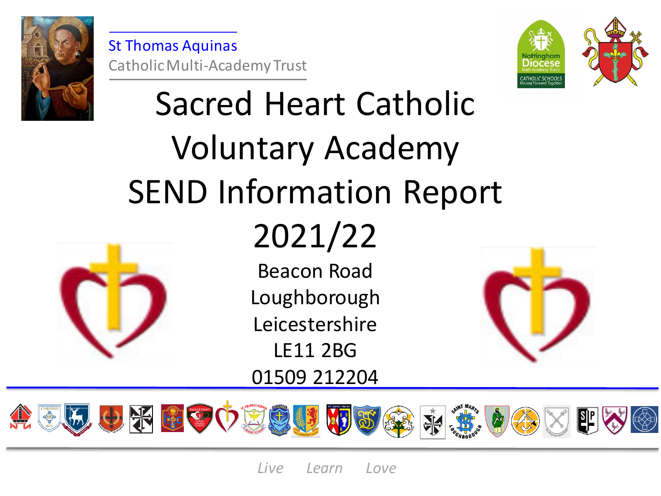

St Thomas Aquinas Catholic Multi-Academy Trust



# Sacred Heart Catholic Voluntary Academy SEND Information Report



## 2021/22

Beacon Road Loughborough Leicestershire LE11 2BG 01509 212204



田の子 ほこり食 **RAN** 

*Live Learn Love*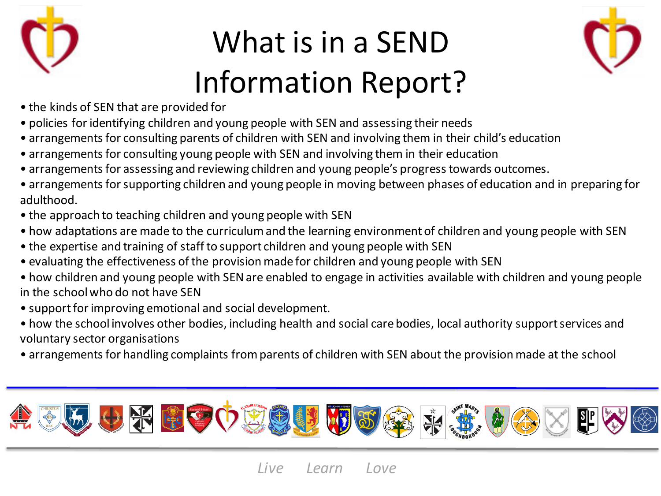

### What is in a SEND Information Report?



- the kinds of SEN that are provided for
- policies for identifying children and young people with SEN and assessing their needs
- arrangements for consulting parents of children with SEN and involving them in their child's education
- arrangements for consulting young people with SEN and involving them in their education
- arrangements for assessing and reviewing children and young people's progress towards outcomes.
- arrangements for supporting children and young people in moving between phases of education and in preparing for adulthood.
- the approach to teaching children and young people with SEN
- how adaptations are made to the curriculum and the learning environment of children and young people with SEN
- the expertise and training of staff to support children and young people with SEN
- evaluating the effectiveness of the provision made for children and young people with SEN
- how children and young people with SEN are enabled to engage in activities available with children and young people in the school who do not have SEN
- support for improving emotional and social development.
- how the school involves other bodies, including health and social care bodies, local authority support services and voluntary sector organisations
- arrangements for handling complaints from parents of children with SEN about the provision made at the school

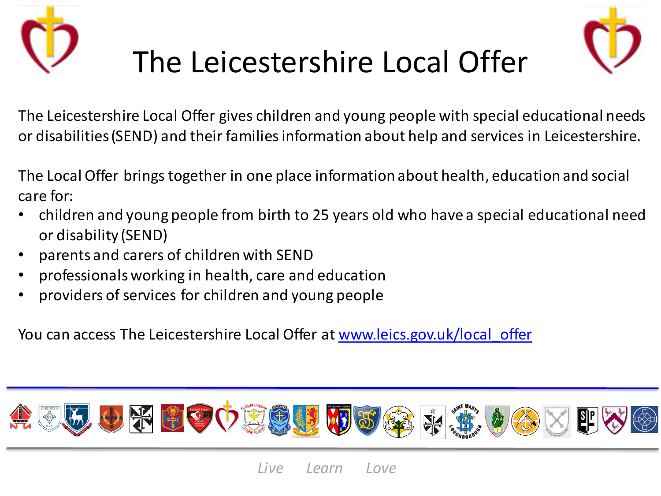



### The Leicestershire Local Offer

The Leicestershire Local Offer gives children and young people with special educational needs or disabilities (SEND) and their families information about help and services in Leicestershire.

The Local Offer brings together in one place information about health, education and social care for:

- children and young people from birth to 25 years old who have a special educational need or disability (SEND)
- parents and carers of children with SEND
- professionals working in health, care and education
- providers of services for children and young people

You can access The Leicestershire Local Offer at www.leics.gov.uk/local offer

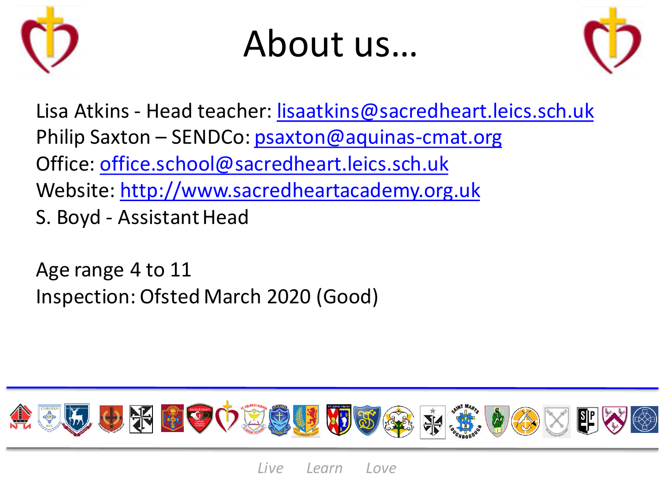

### About us…



Lisa Atkins - Head teacher: [lisaatkins@sacredheart.leics.sch.uk](mailto:latkins@sacredheart.leics.sch.uk) Philip Saxton – SENDCo: [psaxton@aquinas-cmat.org](mailto:psaxton@aquinas-cmat.org) Office: [office.school@sacredheart.leics.sch.uk](mailto:office.school@sacredheart.leics.sch.uk) Website: [http://www.sacredheartacademy.org.uk](http://www.sacredheartacademy.org.uk/) S. Boyd - Assistant Head

Age range 4 to 11 Inspection: Ofsted March 2020 (Good)

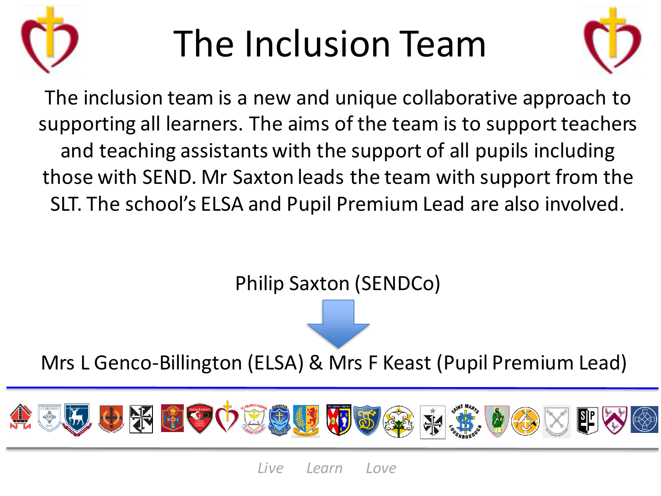

## The Inclusion Team



The inclusion team is a new and unique collaborative approach to supporting all learners. The aims of the team is to support teachers and teaching assistants with the support of all pupils including those with SEND. Mr Saxton leads the team with support from the SLT. The school's ELSA and Pupil Premium Lead are also involved.

Philip Saxton (SENDCo)

Mrs L Genco-Billington (ELSA) & Mrs F Keast (Pupil Premium Lead)

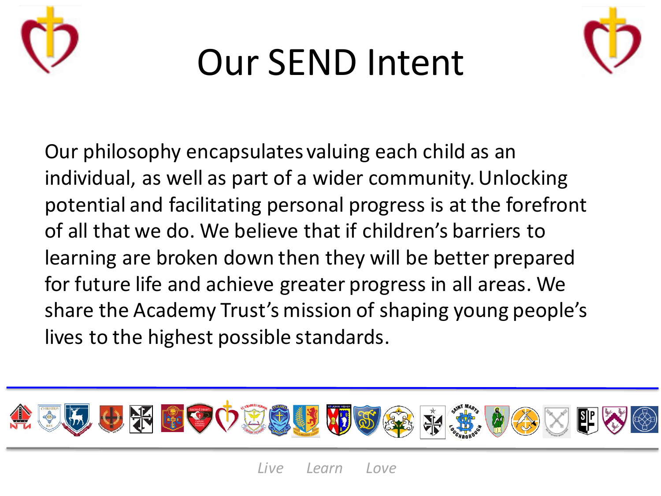

## Our SEND Intent



Our philosophy encapsulates valuing each child as an individual, as well as part of a wider community. Unlocking potential and facilitating personal progress is at the forefront of all that we do. We believe that if children's barriers to learning are broken down then they will be better prepared for future life and achieve greater progress in all areas. We share the Academy Trust's mission of shaping young people's lives to the highest possible standards.

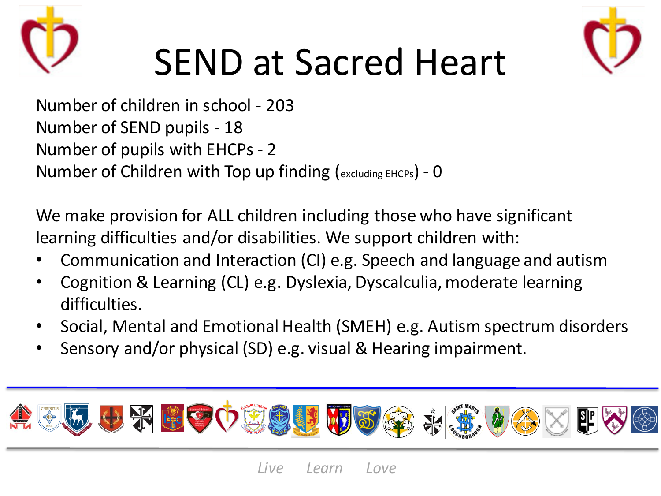



### SEND at Sacred Heart

Number of children in school - 203 Number of SEND pupils - 18 Number of pupils with EHCPs - 2 Number of Children with Top up finding (excluding EHCPs) - 0

We make provision for ALL children including those who have significant learning difficulties and/or disabilities. We support children with:

- Communication and Interaction (CI) e.g. Speech and language and autism
- Cognition & Learning (CL) e.g. Dyslexia, Dyscalculia, moderate learning difficulties.
- Social, Mental and Emotional Health (SMEH) e.g. Autism spectrum disorders
- Sensory and/or physical (SD) e.g. visual & Hearing impairment.

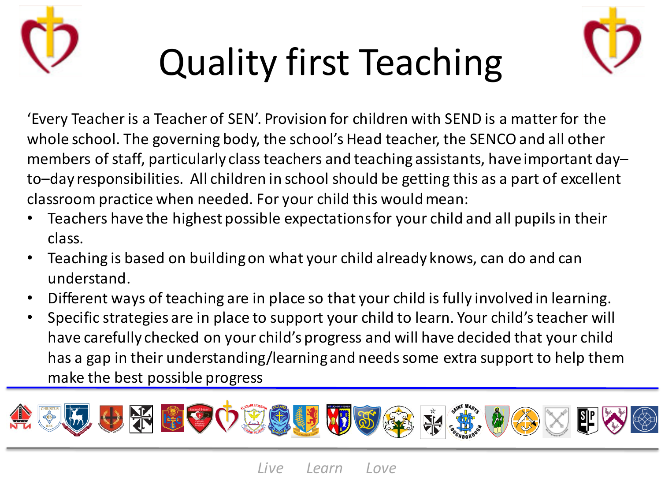





'Every Teacher is a Teacher of SEN'. Provision for children with SEND is a matter for the whole school. The governing body, the school's Head teacher, the SENCO and all other members of staff, particularly class teachers and teaching assistants, have important day– to–day responsibilities. All children in school should be getting this as a part of excellent classroom practice when needed. For your child this would mean:

- Teachers have the highest possible expectations for your child and all pupils in their class.
- Teaching is based on building on what your child already knows, can do and can understand.
- Different ways of teaching are in place so that your child is fully involved in learning.
- Specific strategies are in place to support your child to learn. Your child's teacher will have carefully checked on your child's progress and will have decided that your child has a gap in their understanding/learning and needs some extra support to help them make the best possible progress

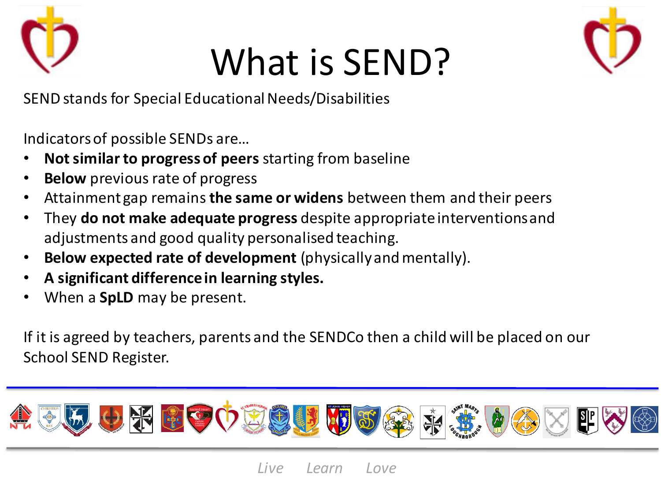

### What is SEND?



SEND stands for Special Educational Needs/Disabilities

Indicators of possible SENDs are…

- **Not similar to progress of peers** starting from baseline
- **Below** previous rate of progress
- Attainment gap remains **the same or widens** between them and their peers
- They **do not make adequate progress** despite appropriate interventions and adjustments and good quality personalised teaching.
- **Below expected rate of development** (physically and mentally).
- **A significant difference in learning styles.**
- When a **SpLD** may be present.

If it is agreed by teachers, parents and the SENDCo then a child will be placed on our School SEND Register.

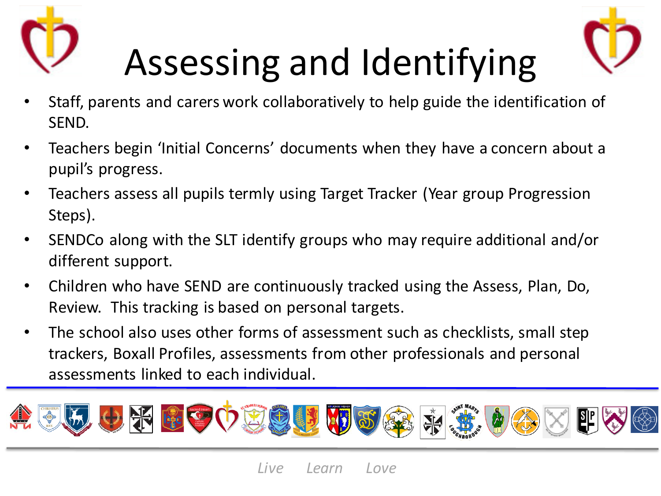



## Assessing and Identifying

- Staff, parents and carers work collaboratively to help guide the identification of SEND.
- Teachers begin 'Initial Concerns' documents when they have a concern about a pupil's progress.
- Teachers assess all pupils termly using Target Tracker (Year group Progression Steps).
- SENDCo along with the SLT identify groups who may require additional and/or different support.
- Children who have SEND are continuously tracked using the Assess, Plan, Do, Review. This tracking is based on personal targets.
- The school also uses other forms of assessment such as checklists, small step trackers, Boxall Profiles, assessments from other professionals and personal assessments linked to each individual.

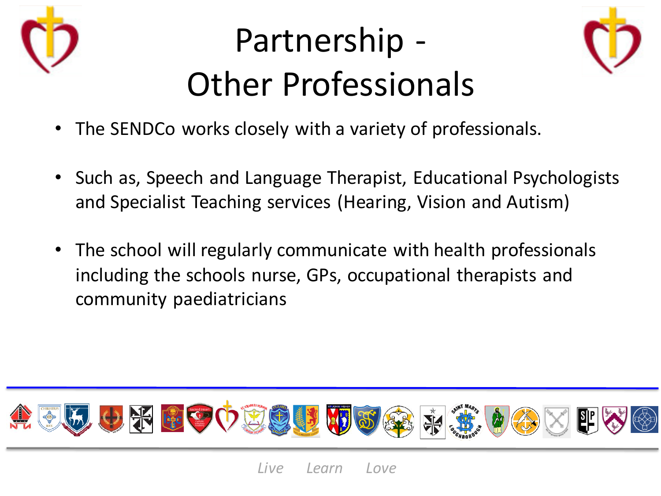

### Partnership - Other Professionals



- The SENDCo works closely with a variety of professionals.
- Such as, Speech and Language Therapist, Educational Psychologists and Specialist Teaching services (Hearing, Vision and Autism)
- The school will regularly communicate with health professionals including the schools nurse, GPs, occupational therapists and community paediatricians

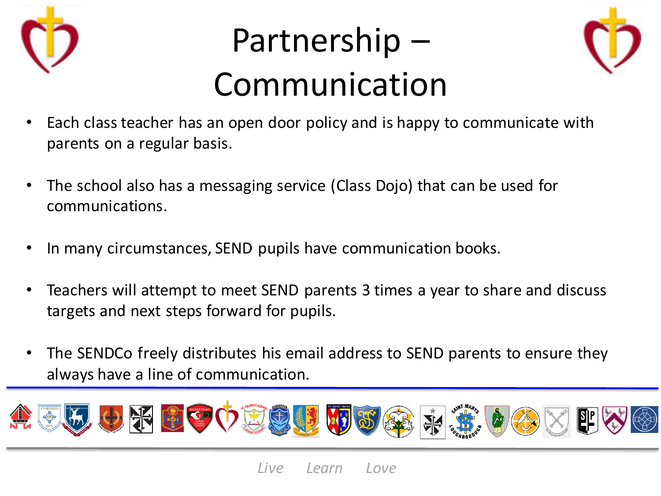

### Partnership – Communication



- Each class teacher has an open door policy and is happy to communicate with parents on a regular basis.
- The school also has a messaging service (Class Dojo) that can be used for communications.
- In many circumstances, SEND pupils have communication books.
- Teachers will attempt to meet SEND parents 3 times a year to share and discuss targets and next steps forward for pupils.
- The SENDCo freely distributes his email address to SEND parents to ensure they always have a line of communication.

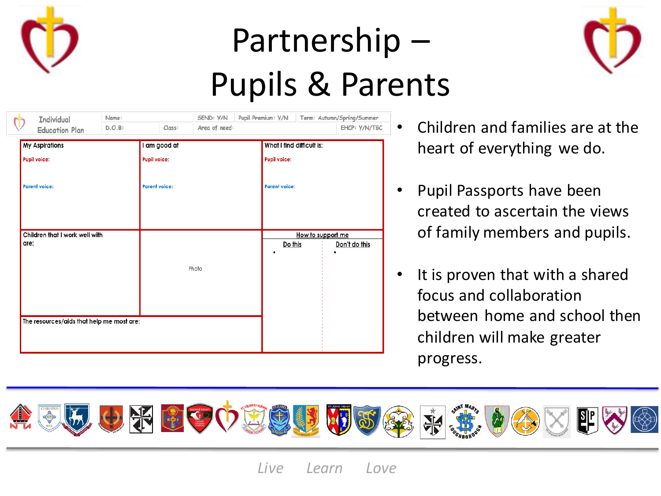

### Partnership – Pupils & Parents



| <b>Individual</b><br>$\dot{\mathbb{D}}$   | Name:            |                      | SEND: Y/N     | Pupil Premium: Y/N |                           | Term: Autumn/Spring/Summer              |  |
|-------------------------------------------|------------------|----------------------|---------------|--------------------|---------------------------|-----------------------------------------|--|
| <b>Education Plan</b>                     | D.O.B:<br>Class: |                      | Area of need: |                    |                           | EHCP: Y/N/TBC                           |  |
| <b>My Aspirations</b>                     |                  | I am good at         |               |                    | What I find difficult is: |                                         |  |
| <b>Pupil voice:</b>                       |                  | <b>Pupil voice:</b>  |               |                    | <b>Pupil voice:</b>       |                                         |  |
| <b>Parent voice:</b>                      |                  | <b>Parent voice:</b> |               |                    | <b>Parent voice:</b>      |                                         |  |
| Children that I work well with<br>are:    |                  |                      |               |                    | Do this<br>$\bullet$      | How to support me<br>Don't do this<br>٠ |  |
|                                           |                  |                      | Photo         |                    |                           |                                         |  |
| The resources/aids that help me most are: |                  |                      |               |                    |                           |                                         |  |

- Children and families are at the heart of everything we do.
- Pupil Passports have been created to ascertain the views of family members and pupils.
- It is proven that with a shared focus and collaboration between home and school then children will make greater progress.

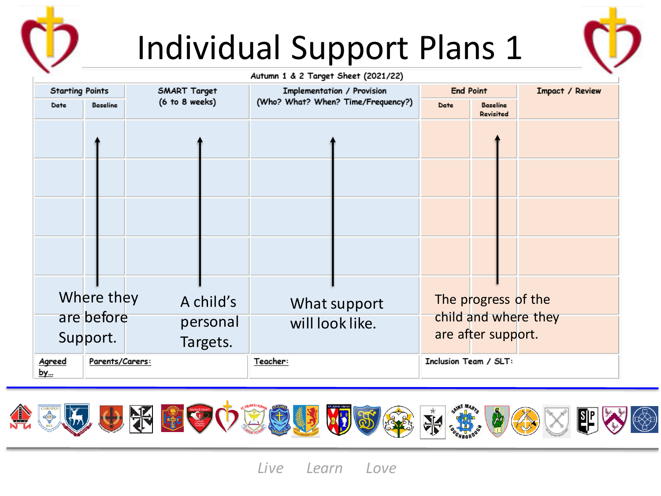

### Individual Support Plans 1



#### Autumn 1 & 2 Target Sheet (2021/22)

| <b>Starting Points</b><br><b>Baseline</b><br>Date |                                      | <b>SMART Target</b>               | Implementation / Provision         | <b>End Point</b>                                                  | Impact / Review |
|---------------------------------------------------|--------------------------------------|-----------------------------------|------------------------------------|-------------------------------------------------------------------|-----------------|
|                                                   |                                      | (6 to 8 weeks)                    | (Who? What? When? Time/Frequency?) | <b>Baseline</b><br>Date<br><b>Revisited</b>                       |                 |
|                                                   |                                      |                                   |                                    |                                                                   |                 |
|                                                   | Where they<br>are before<br>Support. | A child's<br>personal<br>Targets. | What support<br>will look like.    | The progress of the<br>child and where they<br>are after support. |                 |
| Agreed<br><u>bу</u>                               | Parents/Carers:                      |                                   | Teacher:                           | Inclusion Team / SLT:                                             |                 |



*Live Learn Love*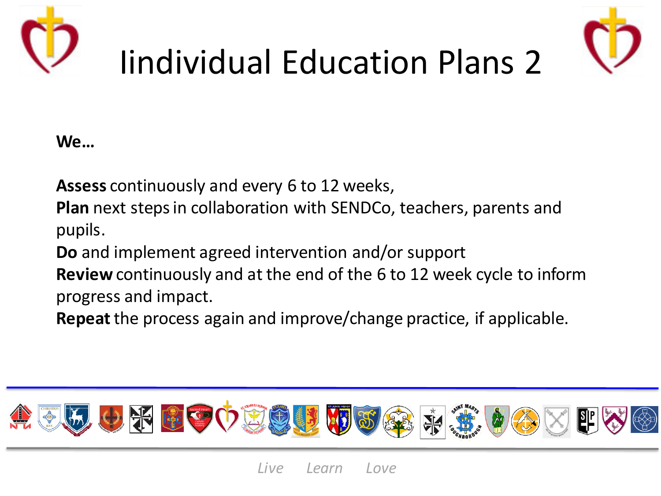



## Iindividual Education Plans 2

### **We…**

**Assess** continuously and every 6 to 12 weeks,

**Plan** next steps in collaboration with SENDCo, teachers, parents and pupils.

**Do** and implement agreed intervention and/or support

**Review** continuously and at the end of the 6 to 12 week cycle to inform progress and impact.

**Repeat**the process again and improve/change practice, if applicable.

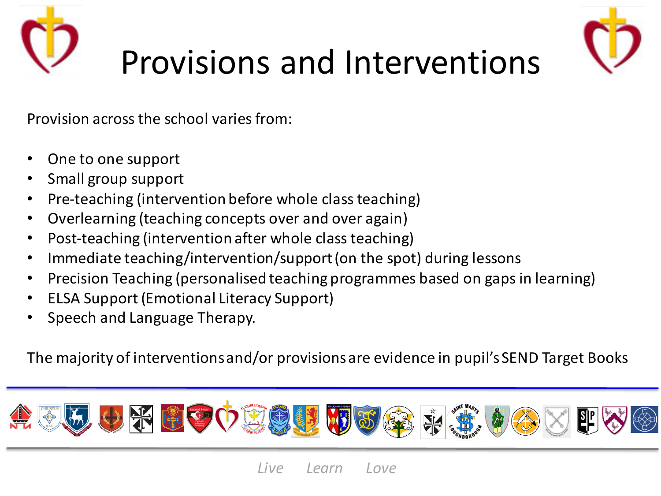



### Provisions and Interventions

Provision across the school varies from:

- One to one support
- Small group support
- Pre-teaching (intervention before whole class teaching)
- Overlearning (teaching concepts over and over again)
- Post-teaching (intervention after whole class teaching)
- Immediate teaching/intervention/support (on the spot) during lessons
- Precision Teaching (personalised teaching programmes based on gaps in learning)
- ELSA Support (Emotional Literacy Support)
- Speech and Language Therapy.

The majority of interventions and/or provisions are evidence in pupil's SEND Target Books

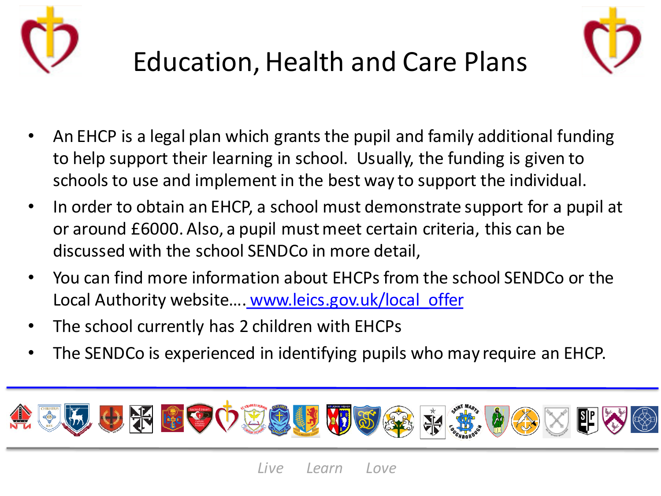



### Education, Health and Care Plans

- An EHCP is a legal plan which grants the pupil and family additional funding to help support their learning in school. Usually, the funding is given to schools to use and implement in the best way to support the individual.
- In order to obtain an EHCP, a school must demonstrate support for a pupil at or around £6000. Also, a pupil must meet certain criteria, this can be discussed with the school SENDCo in more detail,
- You can find more information about EHCPs from the school SENDCo or the Local Authority website....<u>[www.leics.gov.uk/local\\_offer](http://www.leics.gov.uk/local_offer)</u>
- The school currently has 2 children with EHCPs
- The SENDCo is experienced in identifying pupils who may require an EHCP.

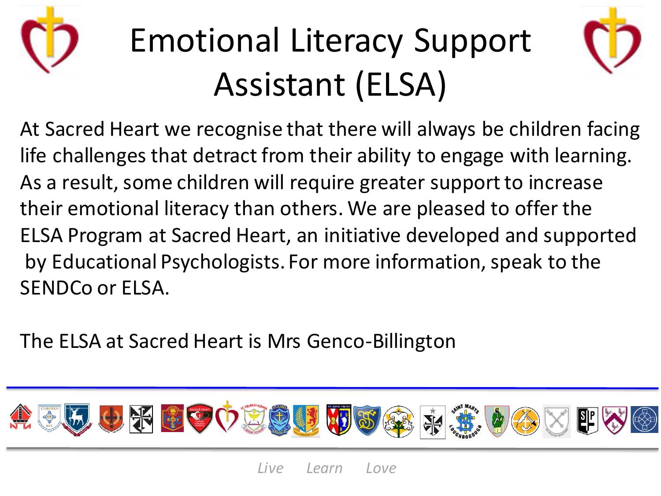

### Emotional Literacy Support Assistant (ELSA)



At Sacred Heart we recognise that there will always be children facing life challenges that detract from their ability to engage with learning. As a result, some children will require greater support to increase their emotional literacy than others. We are pleased to offer the ELSA Program at Sacred Heart, an initiative developed and supported by Educational Psychologists. For more information, speak to the SENDCo or ELSA.

The ELSA at Sacred Heart is Mrs Genco-Billington

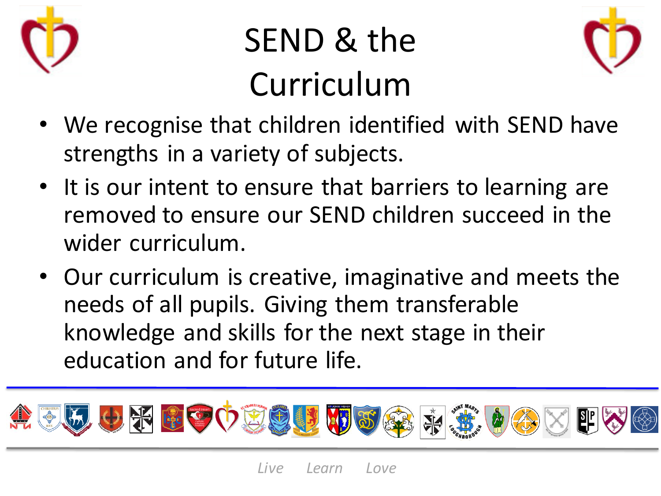

### SEND & the Curriculum



- We recognise that children identified with SEND have strengths in a variety of subjects.
- It is our intent to ensure that barriers to learning are removed to ensure our SEND children succeed in the wider curriculum.
- Our curriculum is creative, imaginative and meets the needs of all pupils. Giving them transferable knowledge and skills for the next stage in their education and for future life.

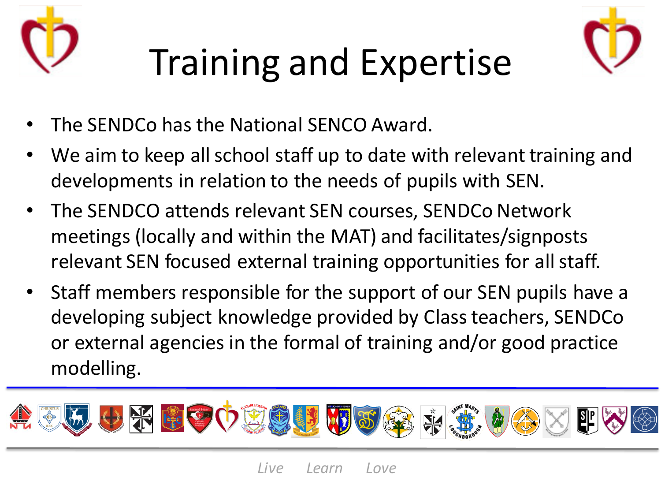



## Training and Expertise

- The SENDCo has the National SENCO Award.
- We aim to keep all school staff up to date with relevant training and developments in relation to the needs of pupils with SEN.
- The SENDCO attends relevant SEN courses, SENDCo Network meetings (locally and within the MAT) and facilitates/signposts relevant SEN focused external training opportunities for all staff.
- Staff members responsible for the support of our SEN pupils have a developing subject knowledge provided by Class teachers, SENDCo or external agencies in the formal of training and/or good practice modelling.

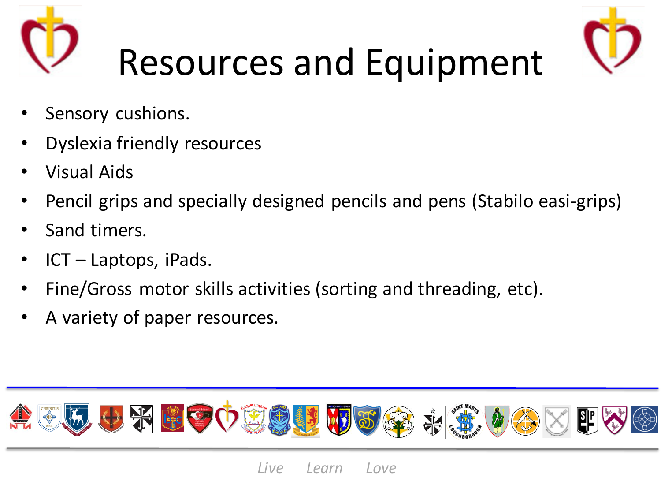



- Sensory cushions.
- Dyslexia friendly resources
- Visual Aids
- Pencil grips and specially designed pencils and pens (Stabilo easi-grips)
- Sand timers.
- ICT Laptops, iPads.
- Fine/Gross motor skills activities (sorting and threading, etc).
- A variety of paper resources.

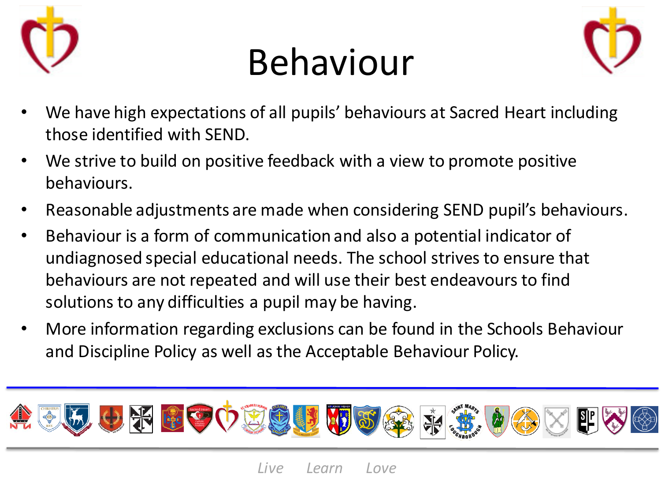

### Behaviour



- We have high expectations of all pupils' behaviours at Sacred Heart including those identified with SEND.
- We strive to build on positive feedback with a view to promote positive behaviours.
- Reasonable adjustments are made when considering SEND pupil's behaviours.
- Behaviour is a form of communication and also a potential indicator of undiagnosed special educational needs. The school strives to ensure that behaviours are not repeated and will use their best endeavours to find solutions to any difficulties a pupil may be having.
- More information regarding exclusions can be found in the Schools Behaviour and Discipline Policy as well as the Acceptable Behaviour Policy.

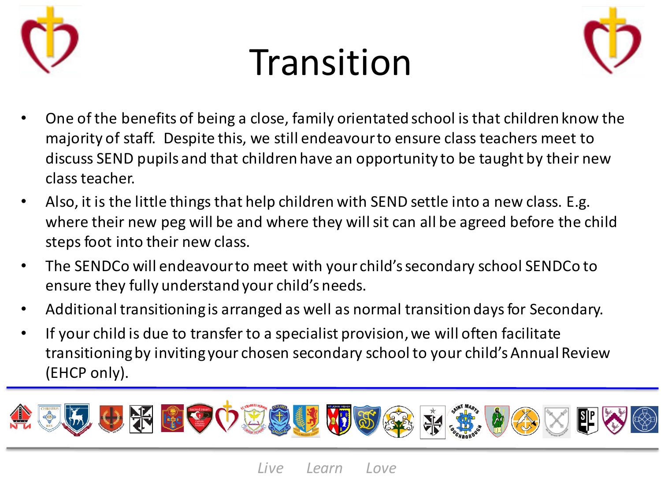

### Transition



- One of the benefits of being a close, family orientated school is that children know the majority of staff. Despite this, we still endeavour to ensure class teachers meet to discuss SEND pupils and that children have an opportunity to be taught by their new class teacher.
- Also, it is the little things that help children with SEND settle into a new class. E.g. where their new peg will be and where they will sit can all be agreed before the child steps foot into their new class.
- The SENDCo will endeavour to meet with your child's secondary school SENDCo to ensure they fully understand your child's needs.
- Additional transitioning is arranged as well as normal transition days for Secondary.
- If your child is due to transfer to a specialist provision, we will often facilitate transitioning by inviting your chosen secondary school to your child's Annual Review (EHCP only).

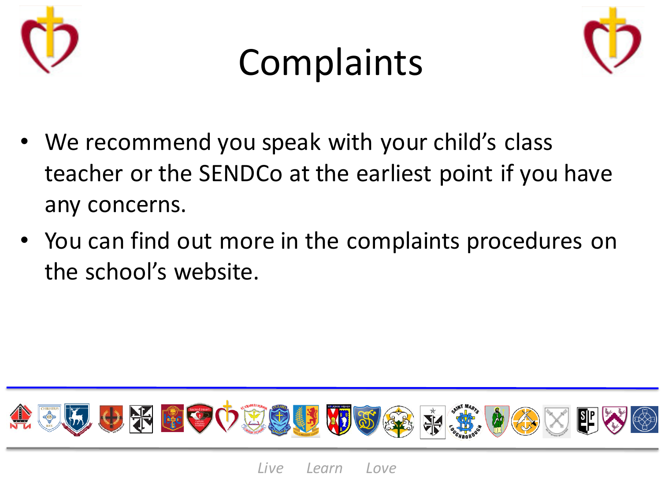





- We recommend you speak with your child's class teacher or the SENDCo at the earliest point if you have any concerns.
- You can find out more in the complaints procedures on the school's website.

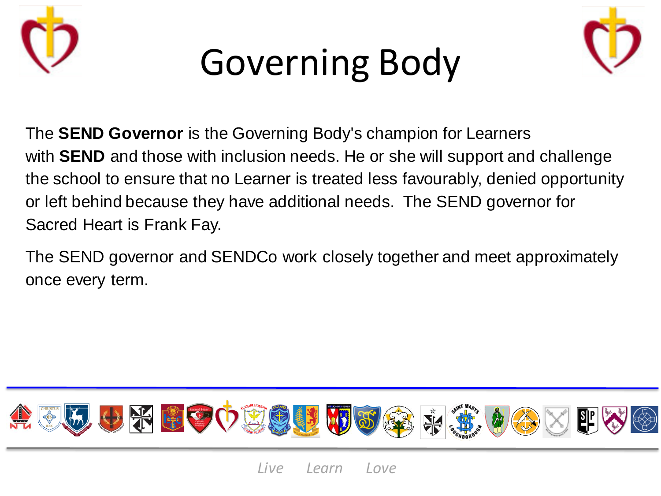





The **SEND Governor** is the Governing Body's champion for Learners with **SEND** and those with inclusion needs. He or she will support and challenge the school to ensure that no Learner is treated less favourably, denied opportunity or left behind because they have additional needs. The SEND governor for Sacred Heart is Frank Fay.

The SEND governor and SENDCo work closely together and meet approximately once every term.

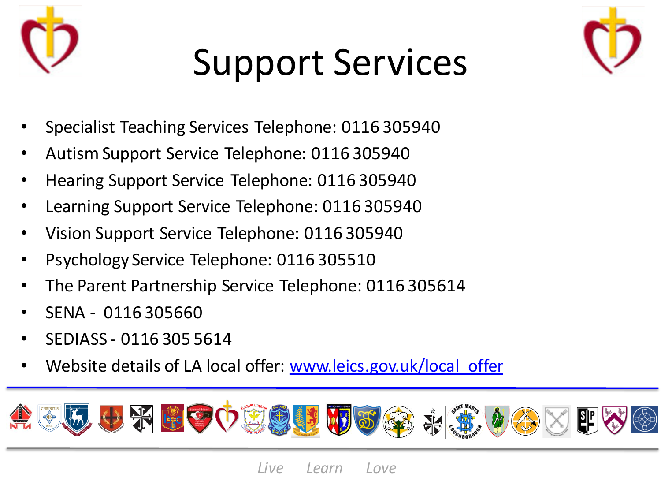

### Support Services



- Specialist Teaching Services Telephone: 0116 305940
- Autism Support Service Telephone: 0116 305940
- Hearing Support Service Telephone: 0116 305940
- Learning Support Service Telephone: 0116 305940
- Vision Support Service Telephone: 0116 305940
- Psychology Service Telephone: 0116 305510
- The Parent Partnership Service Telephone: 0116 305614
- SENA 0116 305660
- SEDIASS 0116 305 5614
- Website details of LA local offer: www.leics.gov.uk/local offer